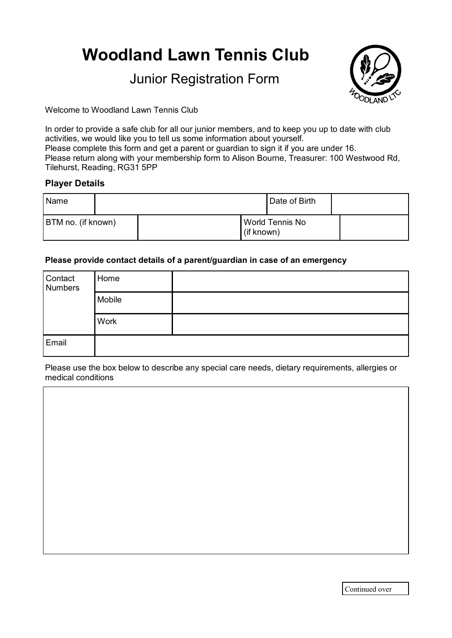# **Woodland Lawn Tennis Club**

# Junior Registration Form



Welcome to Woodland Lawn Tennis Club

In order to provide a safe club for all our junior members, and to keep you up to date with club activities, we would like you to tell us some information about yourself. Please complete this form and get a parent or guardian to sign it if you are under 16. Please return along with your membership form to Alison Bourne, Treasurer: 100 Westwood Rd, Tilehurst, Reading, RG31 5PP

### **Player Details**

| Name               |  |                               | Date of Birth |  |
|--------------------|--|-------------------------------|---------------|--|
| BTM no. (if known) |  | World Tennis No<br>(if known) |               |  |

#### **Please provide contact details of a parent/guardian in case of an emergency**

| Contact<br>Numbers | Home        |  |
|--------------------|-------------|--|
|                    | Mobile      |  |
|                    | <b>Work</b> |  |
| Email              |             |  |

Please use the box below to describe any special care needs, dietary requirements, allergies or medical conditions